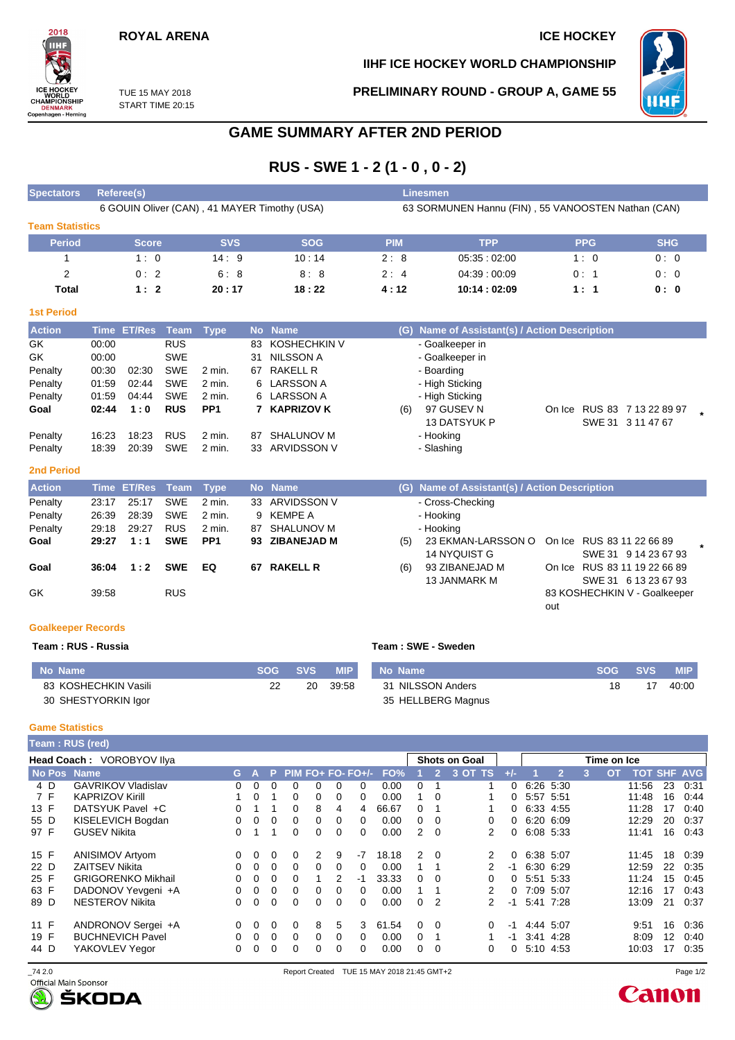# **ROYAL ARENA ICE HOCKEY**

**IIHF ICE HOCKEY WORLD CHAMPIONSHIP**



TUE 15 MAY 2018 START TIME 20:15 **PRELIMINARY ROUND - GROUP A, GAME 55**



# **GAME SUMMARY AFTER 2ND PERIOD**

# **RUS - SWE 1 - 2 (1 - 0 , 0 - 2)**

| <b>Spectators</b>      | Referee(s)                                   |            |            | Linesmen   |                                                    |            |            |  |  |  |  |
|------------------------|----------------------------------------------|------------|------------|------------|----------------------------------------------------|------------|------------|--|--|--|--|
|                        | 6 GOUIN Oliver (CAN), 41 MAYER Timothy (USA) |            |            |            | 63 SORMUNEN Hannu (FIN), 55 VANOOSTEN Nathan (CAN) |            |            |  |  |  |  |
| <b>Team Statistics</b> |                                              |            |            |            |                                                    |            |            |  |  |  |  |
| <b>Period</b>          | <b>Score</b>                                 | <b>SVS</b> | <b>SOG</b> | <b>PIM</b> | <b>TPP</b>                                         | <b>PPG</b> | <b>SHG</b> |  |  |  |  |
|                        | 1:0                                          | 14:9       | 10:14      | 2:8        | 05.35:02.00                                        | 1:0        | 0:0        |  |  |  |  |
| 2                      | 0:2                                          | 6:8        | 8:8        | 2:4        | 04:39:00:09                                        | 0:1        | 0:0        |  |  |  |  |
| <b>Total</b>           | 1:2                                          | 20:17      | 18:22      | 4:12       | 10:14:02:09                                        | 1:1        | 0:0        |  |  |  |  |

#### **1st Period**

| <b>Action</b> |       | Time ET/Res | Team       | Type              |    | No Name      |     | (G) Name of Assistant(s) / Action Description |        |                      |  |
|---------------|-------|-------------|------------|-------------------|----|--------------|-----|-----------------------------------------------|--------|----------------------|--|
| GK            | 00:00 |             | <b>RUS</b> |                   | 83 | KOSHECHKIN V |     | - Goalkeeper in                               |        |                      |  |
| GK            | 00:00 |             | <b>SWE</b> |                   | 31 | NILSSON A    |     | - Goalkeeper in                               |        |                      |  |
| Penalty       | 00:30 | 02:30       | <b>SWE</b> | 2 min.            | 67 | RAKELL R     |     | - Boarding                                    |        |                      |  |
| Penalty       | 01:59 | 02:44       | <b>SWE</b> | 2 min.            |    | 6 LARSSON A  |     | - High Sticking                               |        |                      |  |
| Penalty       | 01:59 | 04:44       | <b>SWE</b> | 2 min.            |    | 6 LARSSON A  |     | - High Sticking                               |        |                      |  |
| Goal          | 02:44 | 1:0         | <b>RUS</b> | PP <sub>1</sub>   |    | 7 KAPRIZOV K | (6) | 97 GUSEV N                                    | On Ice | RUS 83 7 13 22 89 97 |  |
|               |       |             |            |                   |    |              |     | <b>13 DATSYUK P</b>                           |        | SWE 31 3 11 47 67    |  |
| Penalty       | 16:23 | 18:23       | <b>RUS</b> | 2 min.            | 87 | SHALUNOV M   |     | - Hooking                                     |        |                      |  |
| Penalty       | 18:39 | 20:39       | <b>SWE</b> | $2 \text{ min}$ . | 33 | ARVIDSSON V  |     | - Slashing                                    |        |                      |  |
|               |       |             |            |                   |    |              |     |                                               |        |                      |  |

#### **2nd Period**

| <b>Action</b> |       | Time ET/Res Team Type |            |                 |    | No Name         |     | (G) Name of Assistant(s) / Action Description |     |                              |  |
|---------------|-------|-----------------------|------------|-----------------|----|-----------------|-----|-----------------------------------------------|-----|------------------------------|--|
| Penalty       | 23:17 | 25:17                 | <b>SWE</b> | 2 min.          |    | 33 ARVIDSSON V  |     | - Cross-Checking                              |     |                              |  |
| Penalty       | 26:39 | 28:39                 | <b>SWE</b> | 2 min.          |    | 9 KEMPE A       |     | - Hooking                                     |     |                              |  |
| Penalty       | 29:18 | 29:27                 | <b>RUS</b> | $2$ min.        | 87 | SHALUNOV M      |     | - Hooking                                     |     |                              |  |
| Goal          | 29:27 | 1:1                   | <b>SWE</b> | PP <sub>1</sub> |    | 93 ZIBANEJAD M  | (5) | 23 EKMAN-LARSSON O On Ice RUS 83 11 22 66 89  |     |                              |  |
|               |       |                       |            |                 |    |                 |     | 14 NYQUIST G                                  |     | SWE 31 9 14 23 67 93         |  |
| Goal          | 36:04 | 1:2                   | <b>SWE</b> | EQ              | 67 | <b>RAKELL R</b> | (6) | 93 ZIBANEJAD M                                |     | On Ice RUS 83 11 19 22 66 89 |  |
|               |       |                       |            |                 |    |                 |     | 13 JANMARK M                                  |     | SWE 31 6 13 23 67 93         |  |
| GK            | 39:58 |                       | <b>RUS</b> |                 |    |                 |     |                                               |     | 83 KOSHECHKIN V - Goalkeeper |  |
|               |       |                       |            |                 |    |                 |     |                                               | out |                              |  |

#### **Goalkeeper Records**

### **Team : RUS - Russia Team : SWE - Sweden**

| No Name              | SOG SVS | MIP   | No Name            | <b>SOG</b> | <b>SVS</b> | <b>MIP</b> |
|----------------------|---------|-------|--------------------|------------|------------|------------|
| 83 KOSHECHKIN Vasili | 20      | 39:58 | 31 NILSSON Anders  | 18         |            | 40:00      |
| 30 SHESTYORKIN Igor  |         |       | 35 HELLBERG Magnus |            |            |            |

#### **Game Statistics**

|      | Team: RUS (red)           |   |          |   |          |   |          |                       |       |                      |                |               |          |             |                |                           |    |                    |    |      |
|------|---------------------------|---|----------|---|----------|---|----------|-----------------------|-------|----------------------|----------------|---------------|----------|-------------|----------------|---------------------------|----|--------------------|----|------|
|      | Head Coach: VOROBYOV Ilya |   |          |   |          |   |          |                       |       | <b>Shots on Goal</b> |                |               |          | Time on Ice |                |                           |    |                    |    |      |
|      | No Pos Name               |   | G A      |   |          |   |          | $P$ PIM FO+ FO- FO+/- | FO%   |                      | $\overline{2}$ | 3 OT TS       |          |             | $\overline{2}$ | $\mathbf{3}^{\mathsf{T}}$ | OТ | <b>TOT SHF AVG</b> |    |      |
| 4 D  | <b>GAVRIKOV Vladislav</b> |   | 0        | 0 | 0        | 0 | 0        | 0                     | 0.00  | 0                    |                |               | $\Omega$ | 6:26 5:30   |                |                           |    | 11:56              | 23 | 0:31 |
| 7 F  | <b>KAPRIZOV Kirill</b>    |   | $\Omega$ |   | 0        | 0 | 0        | 0                     | 0.00  |                      | $\Omega$       |               | 0        | 5:57 5:51   |                |                           |    | 11:48              | 16 | 0.44 |
| 13 F | DATSYUK Pavel +C          |   |          |   | 0        | 8 | 4        | 4                     | 66.67 | 0                    |                |               | 0        | 6.33 4.55   |                |                           |    | 11:28              | 17 | 0:40 |
| 55 D | KISELEVICH Bogdan         |   | $\Omega$ | 0 | $\Omega$ | 0 | $\Omega$ | 0                     | 0.00  | 0                    | $\Omega$       | 0             | 0        | 6.20 6.09   |                |                           |    | 12:29              | 20 | 0:37 |
| 97 F | <b>GUSEV Nikita</b>       |   |          |   | 0        | 0 | $\Omega$ | $\Omega$              | 0.00  | $\mathcal{P}$        | $\Omega$       | 2             | 0        | 6:08 5:33   |                |                           |    | 11:41              | 16 | 0.43 |
| 15 F | <b>ANISIMOV Artyom</b>    | 0 | $\Omega$ | 0 | 0        | 2 | 9        | $-7$                  | 18.18 | $\mathcal{P}$        | $\Omega$       |               | $\Omega$ |             | 6:38 5:07      |                           |    | 11:45              | 18 | 0:39 |
| 22 D | <b>ZAITSEV Nikita</b>     | 0 | $\Omega$ | 0 | $\Omega$ | 0 | 0        | $\Omega$              | 0.00  |                      |                |               | -1       |             | 6:30 6:29      |                           |    | 12:59              | 22 | 0:35 |
| 25 F | <b>GRIGORENKO Mikhail</b> |   | $\Omega$ | 0 | $\Omega$ |   | 2        | -1                    | 33.33 | 0                    | $\Omega$       |               | 0        | 5:51 5:33   |                |                           |    | 11:24              | 15 | 0:45 |
| 63 F | DADONOV Yevgeni +A        |   | $\Omega$ | 0 | $\Omega$ | 0 | 0        | $\Omega$              | 0.00  |                      |                | 2             | 0        |             | 7:09 5:07      |                           |    | 12:16              | 17 | 0:43 |
| 89 D | <b>NESTEROV Nikita</b>    |   | $\Omega$ | 0 | $\Omega$ | 0 | $\Omega$ | $\Omega$              | 0.00  | 0                    | 2              | $\mathcal{P}$ | $-1$     |             | 5.41 7.28      |                           |    | 13:09              | 21 | 0:37 |
| 11 F | ANDRONOV Sergei +A        | 0 | $\Omega$ | 0 | $\Omega$ | 8 | 5        | 3                     | 61.54 | 0                    | $\Omega$       | 0             | -1       |             | 4:44 5:07      |                           |    | 9:51               | 16 | 0:36 |
| 19 F | <b>BUCHNEVICH Pavel</b>   | 0 | $\Omega$ | 0 | $\Omega$ | 0 | 0        | $\Omega$              | 0.00  | 0                    |                |               | -1       |             | 3:41 4:28      |                           |    | 8:09               | 12 | 0:40 |
| 44 D | YAKOVLEV Yegor            | 0 | 0        | 0 | 0        | o | 0        | 0                     | 0.00  | 0                    | 0              | 0             | 0        | 5:10 4:53   |                |                           |    | 10:03              | 17 | 0:35 |